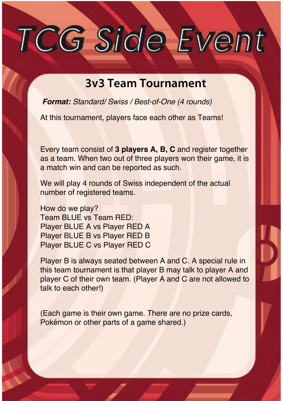# TCG Side Event

## **3v3 Team Tournament**

*Format: Standard/ Swiss / Best-of-One (4 rounds)*

At this tournament, players face each other as Teams!

Every team consist of **3 players A, B, C** and register together as a team. When two out of three players won their game, it is a match win and can be reported as such.

We will play 4 rounds of Swiss independent of the actual number of registered teams.

How do we play? Team BLUE vs Team RED: Player BLUE A vs Player RED A Player BLUE B vs Player RED B Player BLUE C vs Player RED C

Player B is always seated between A and C. A special rule in this team tournament is that player B may talk to player A and player C of their own team. (Player A and C are not allowed to talk to each other!)

(Each game is their own game. There are no prize cards, Pokémon or other parts of a game shared.)